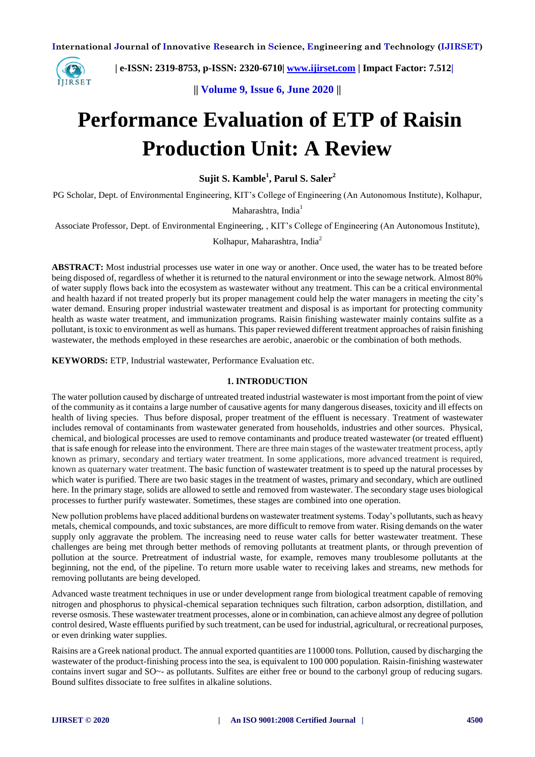**International Journal of Innovative Research in Science, Engineering and Technology (IJIRSET)**



 **| e-ISSN: 2319-8753, p-ISSN: 2320-6710| [www.ijirset.com](http://www.ijirset.com/) | Impact Factor: 7.512|**

**|| Volume 9, Issue 6, June 2020 ||** 

# **Performance Evaluation of ETP of Raisin Production Unit: A Review**

**Sujit S. Kamble<sup>1</sup> , Parul S. Saler<sup>2</sup>**

PG Scholar, Dept. of Environmental Engineering, KIT's College of Engineering (An Autonomous Institute), Kolhapur,

Maharashtra, India<sup>1</sup>

Associate Professor, Dept. of Environmental Engineering, , KIT's College of Engineering (An Autonomous Institute),

Kolhapur, Maharashtra, India<sup>2</sup>

**ABSTRACT:** Most industrial processes use water in one way or another. Once used, the water has to be treated before being disposed of, regardless of whether it is returned to the natural environment or into the sewage network. Almost 80% of water supply flows back into the ecosystem as wastewater without any treatment. This can be a critical environmental and health hazard if not treated properly but its proper management could help the water managers in meeting the city's water demand. Ensuring proper industrial wastewater treatment and disposal is as important for protecting community health as waste water treatment, and immunization programs. Raisin finishing wastewater mainly contains sulfite as a pollutant, is toxic to environment as well as humans. This paper reviewed different treatment approaches of raisin finishing wastewater, the methods employed in these researches are aerobic, anaerobic or the combination of both methods.

**KEYWORDS:** ETP, Industrial wastewater, Performance Evaluation etc.

### **1. INTRODUCTION**

The water pollution caused by discharge of untreated treated industrial wastewater is most important from the point of view of the community as it contains a large number of causative agents for many dangerous diseases, toxicity and ill effects on health of living species. Thus before disposal, proper treatment of the effluent is necessary. Treatment of wastewater includes removal of [contaminants](https://en.wikipedia.org/wiki/Pollutant) from [wastewater](https://en.wikipedia.org/wiki/Wastewater) generated from households, industries and other sources. Physical, chemical, and biological processes are used to remove contaminants and produce treated wastewater (or treated [effluent\)](https://en.wikipedia.org/wiki/Effluent) that is safe enough for release into the environment. There are three main stages of the wastewater treatment process, aptly known as primary, secondary and tertiary water treatment. In some applications, more advanced treatment is required, known as quaternary water treatment. The basic function of wastewater treatment is to speed up the natural processes by which water is purified. There are two basic stages in the treatment of wastes, primary and secondary, which are outlined here. In the primary stage, solids are allowed to settle and removed from wastewater. The secondary stage uses biological processes to further purify wastewater. Sometimes, these stages are combined into one operation.

New pollution problems have placed additional burdens on wastewater treatment systems. Today's pollutants, such as heavy metals, chemical compounds, and toxic substances, are more difficult to remove from water. Rising demands on the water supply only aggravate the problem. The increasing need to reuse water calls for better wastewater treatment. These challenges are being met through better methods of removing pollutants at treatment plants, or through prevention of pollution at the source. Pretreatment of industrial waste, for example, removes many troublesome pollutants at the beginning, not the end, of the pipeline. To return more usable water to receiving lakes and streams, new methods for removing pollutants are being developed.

Advanced waste treatment techniques in use or under development range from biological treatment capable of removing nitrogen and phosphorus to physical-chemical separation techniques such filtration, carbon adsorption, distillation, and reverse osmosis. These wastewater treatment processes, alone or in combination, can achieve almost any degree of pollution control desired, Waste effluents purified by such treatment, can be used for industrial, agricultural, or recreational purposes, or even drinking water supplies.

Raisins are a Greek national product. The annual exported quantities are 110000 tons. Pollution, caused by discharging the wastewater of the product-finishing process into the sea, is equivalent to 100 000 population. Raisin-finishing wastewater contains invert sugar and SO~- as pollutants. Sulfites are either free or bound to the carbonyl group of reducing sugars. Bound sulfites dissociate to free sulfites in alkaline solutions.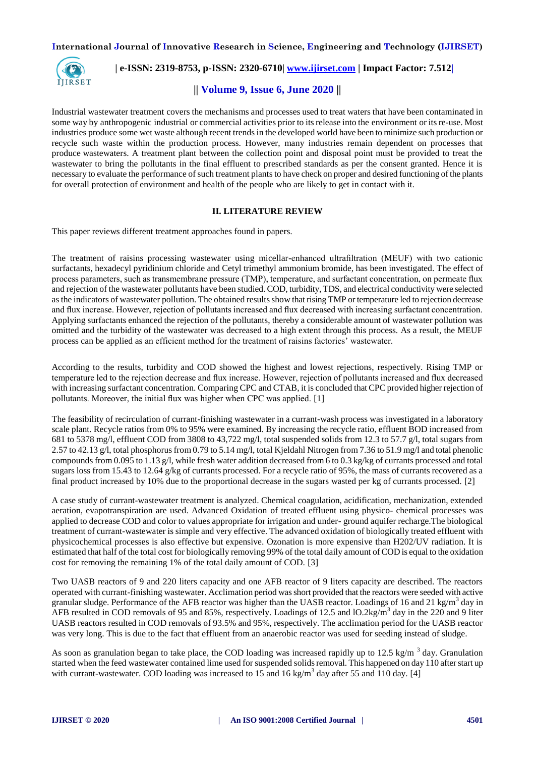**International Journal of Innovative Research in Science, Engineering and Technology (IJIRSET)**



 **| e-ISSN: 2319-8753, p-ISSN: 2320-6710| [www.ijirset.com](http://www.ijirset.com/) | Impact Factor: 7.512|**

## **|| Volume 9, Issue 6, June 2020 ||**

Industrial wastewater treatment covers the mechanisms and processes used to treat waters that have been contaminated in some way by anthropogenic industrial or commercial activities prior to its release into the environment or its re-use. Most industries produce some wet waste although recent trends in the developed world have been to minimize such production or recycle such waste within the production process. However, many industries remain dependent on processes that produce wastewaters. A treatment plant between the collection point and disposal point must be provided to treat the wastewater to bring the pollutants in the final effluent to prescribed standards as per the consent granted. Hence it is necessary to evaluate the performance of such treatment plants to have check on proper and desired functioning of the plants for overall protection of environment and health of the people who are likely to get in contact with it.

#### **II. LITERATURE REVIEW**

This paper reviews different treatment approaches found in papers.

The treatment of raisins processing wastewater using micellar-enhanced ultrafiltration (MEUF) with two cationic surfactants, hexadecyl pyridinium chloride and Cetyl trimethyl ammonium bromide, has been investigated. The effect of process parameters, such as transmembrane pressure (TMP), temperature, and surfactant concentration, on permeate flux and rejection of the wastewater pollutants have been studied. COD, turbidity, TDS, and electrical conductivity were selected as the indicators of wastewater pollution. The obtained results show that rising TMP or temperature led to rejection decrease and flux increase. However, rejection of pollutants increased and flux decreased with increasing surfactant concentration. Applying surfactants enhanced the rejection of the pollutants, thereby a considerable amount of wastewater pollution was omitted and the turbidity of the wastewater was decreased to a high extent through this process. As a result, the MEUF process can be applied as an efficient method for the treatment of raisins factories' wastewater.

According to the results, turbidity and COD showed the highest and lowest rejections, respectively. Rising TMP or temperature led to the rejection decrease and flux increase. However, rejection of pollutants increased and flux decreased with increasing surfactant concentration. Comparing CPC and CTAB, it is concluded that CPC provided higher rejection of pollutants. Moreover, the initial flux was higher when CPC was applied. [1]

The feasibility of recirculation of currant-finishing wastewater in a currant-wash process was investigated in a laboratory scale plant. Recycle ratios from 0% to 95% were examined. By increasing the recycle ratio, effluent BOD increased from 681 to 5378 mg/l, effluent COD from 3808 to 43,722 mg/l, total suspended solids from 12.3 to 57.7 g/l, total sugars from 2.57 to 42.13 g/l, total phosphorus from 0.79 to 5.14 mg/l, total Kjeldahl Nitrogen from 7.36 to 51.9 mg/l and total phenolic compounds from 0.095 to 1.13 g/l, while fresh water addition decreased from 6 to 0.3 kg/kg of currants processed and total sugars loss from 15.43 to 12.64 g/kg of currants processed. For a recycle ratio of 95%, the mass of currants recovered as a final product increased by 10% due to the proportional decrease in the sugars wasted per kg of currants processed. [2]

A case study of currant-wastewater treatment is analyzed. Chemical coagulation, acidification, mechanization, extended aeration, evapotranspiration are used. Advanced Oxidation of treated effluent using physico- chemical processes was applied to decrease COD and color to values appropriate for irrigation and under- ground aquifer recharge.The biological treatment of currant-wastewater is simple and very effective. The advanced oxidation of biologically treated effluent with physicochemical processes is also effective but expensive. Ozonation is more expensive than H202/UV radiation. It is estimated that half of the total cost for biologically removing 99% of the total daily amount of COD is equal to the oxidation cost for removing the remaining 1% of the total daily amount of COD. [3]

Two UASB reactors of 9 and 220 liters capacity and one AFB reactor of 9 liters capacity are described. The reactors operated with currant-finishing wastewater. Acclimation period was short provided that the reactors were seeded with active granular sludge. Performance of the AFB reactor was higher than the UASB reactor. Loadings of 16 and 21 kg/m<sup>3</sup> day in AFB resulted in COD removals of 95 and 85%, respectively. Loadings of 12.5 and  $10.2 \text{kg/m}^3$  day in the 220 and 9 liter UASB reactors resulted in COD removals of 93.5% and 95%, respectively. The acclimation period for the UASB reactor was very long. This is due to the fact that effluent from an anaerobic reactor was used for seeding instead of sludge.

As soon as granulation began to take place, the COD loading was increased rapidly up to 12.5 kg/m  $^3$  day. Granulation started when the feed wastewater contained lime used for suspended solids removal. This happened on day 110 after start up with currant-wastewater. COD loading was increased to 15 and 16 kg/m<sup>3</sup> day after 55 and 110 day. [4]